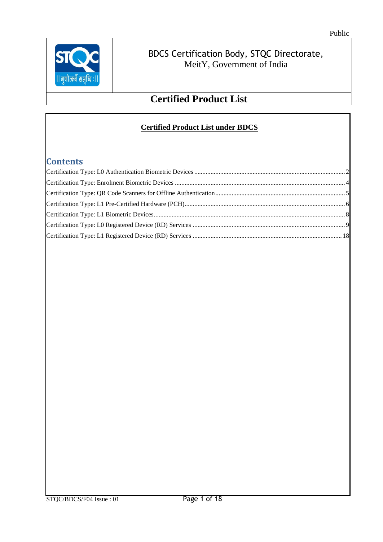

## **Certified Product List**

#### **Certified Product List under BDCS**

### **Contents**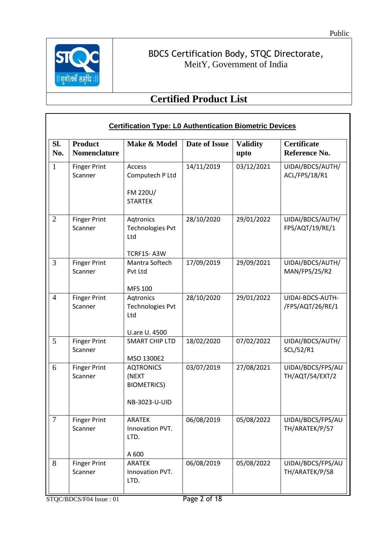

Г

### BDCS Certification Body, STQC Directorate, MeitY, Government of India

<span id="page-1-0"></span>

|                | <b>Certification Type: L0 Authentication Biometric Devices</b> |                                                                  |               |                         |                                      |  |  |  |
|----------------|----------------------------------------------------------------|------------------------------------------------------------------|---------------|-------------------------|--------------------------------------|--|--|--|
| SI.<br>No.     | <b>Product</b><br><b>Nomenclature</b>                          | Make & Model                                                     | Date of Issue | <b>Validity</b><br>upto | <b>Certificate</b><br>Reference No.  |  |  |  |
| $\mathbf{1}$   | <b>Finger Print</b><br>Scanner                                 | Access<br>Computech P Ltd<br>FM 220U/<br><b>STARTEK</b>          | 14/11/2019    | 03/12/2021              | UIDAI/BDCS/AUTH/<br>ACL/FPS/18/R1    |  |  |  |
| $\overline{2}$ | <b>Finger Print</b><br>Scanner                                 | Aqtronics<br><b>Technologies Pvt</b><br>Ltd<br>TCRF1S-A3W        | 28/10/2020    | 29/01/2022              | UIDAI/BDCS/AUTH/<br>FPS/AQT/19/RE/1  |  |  |  |
| 3              | <b>Finger Print</b><br>Scanner                                 | Mantra Softech<br>Pvt Ltd<br><b>MFS 100</b>                      | 17/09/2019    | 29/09/2021              | UIDAI/BDCS/AUTH/<br>MAN/FPS/25/R2    |  |  |  |
| $\overline{4}$ | <b>Finger Print</b><br>Scanner                                 | Aqtronics<br><b>Technologies Pvt</b><br>Ltd<br>U.are U. 4500     | 28/10/2020    | 29/01/2022              | UIDAI-BDCS-AUTH-<br>/FPS/AQT/26/RE/1 |  |  |  |
| 5              | <b>Finger Print</b><br>Scanner                                 | <b>SMART CHIP LTD</b><br>MSO 1300E2                              | 18/02/2020    | 07/02/2022              | UIDAI/BDCS/AUTH/<br>SCL/52/R1        |  |  |  |
| 6              | <b>Finger Print</b><br>Scanner                                 | <b>AQTRONICS</b><br>(NEXT<br><b>BIOMETRICS)</b><br>NB-3023-U-UID | 03/07/2019    | 27/08/2021              | UIDAI/BDCS/FPS/AU<br>TH/AQT/54/EXT/2 |  |  |  |
| $\tau$         | <b>Finger Print</b><br>Scanner                                 | <b>ARATEK</b><br>Innovation PVT.<br>LTD.<br>A 600                | 06/08/2019    | 05/08/2022              | UIDAI/BDCS/FPS/AU<br>TH/ARATEK/P/57  |  |  |  |
| 8              | <b>Finger Print</b><br>Scanner                                 | <b>ARATEK</b><br>Innovation PVT.<br>LTD.                         | 06/08/2019    | 05/08/2022              | UIDAI/BDCS/FPS/AU<br>TH/ARATEK/P/58  |  |  |  |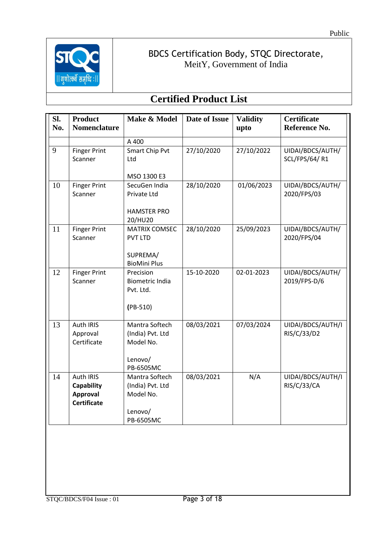

| SI.<br>No. | <b>Product</b><br><b>Nomenclature</b>       | Make & Model                                     | <b>Date of Issue</b> | <b>Validity</b><br>upto | Certificate<br>Reference No.              |
|------------|---------------------------------------------|--------------------------------------------------|----------------------|-------------------------|-------------------------------------------|
|            |                                             | A 400                                            |                      |                         |                                           |
| 9          | <b>Finger Print</b><br>Scanner              | Smart Chip Pvt<br>Ltd                            | 27/10/2020           | 27/10/2022              | UIDAI/BDCS/AUTH/<br><b>SCL/FPS/64/ R1</b> |
|            |                                             | MSO 1300 E3                                      |                      |                         |                                           |
| 10         | <b>Finger Print</b><br>Scanner              | SecuGen India<br>Private Ltd                     | 28/10/2020           | 01/06/2023              | UIDAI/BDCS/AUTH/<br>2020/FPS/03           |
|            |                                             | <b>HAMSTER PRO</b><br>20/HU20                    |                      |                         |                                           |
| 11         | <b>Finger Print</b><br>Scanner              | <b>MATRIX COMSEC</b><br><b>PVT LTD</b>           | 28/10/2020           | 25/09/2023              | UIDAI/BDCS/AUTH/<br>2020/FPS/04           |
|            |                                             | SUPREMA/<br><b>BioMini Plus</b>                  |                      |                         |                                           |
| 12         | <b>Finger Print</b><br>Scanner              | Precision<br><b>Biometric India</b><br>Pvt. Ltd. | 15-10-2020           | 02-01-2023              | UIDAI/BDCS/AUTH/<br>2019/FPS-D/6          |
|            |                                             | $(PB-510)$                                       |                      |                         |                                           |
| 13         | <b>Auth IRIS</b><br>Approval<br>Certificate | Mantra Softech<br>(India) Pvt. Ltd<br>Model No.  | 08/03/2021           | 07/03/2024              | UIDAI/BDCS/AUTH/I<br>RIS/C/33/D2          |
|            |                                             | Lenovo/<br>PB-6505MC                             |                      |                         |                                           |
| 14         | Auth IRIS<br><b>Capability</b>              | Mantra Softech<br>(India) Pvt. Ltd               | 08/03/2021           | N/A                     | UIDAI/BDCS/AUTH/I<br><b>RIS/C/33/CA</b>   |
|            | <b>Approval</b><br><b>Certificate</b>       | Model No.                                        |                      |                         |                                           |
|            |                                             | Lenovo/<br>PB-6505MC                             |                      |                         |                                           |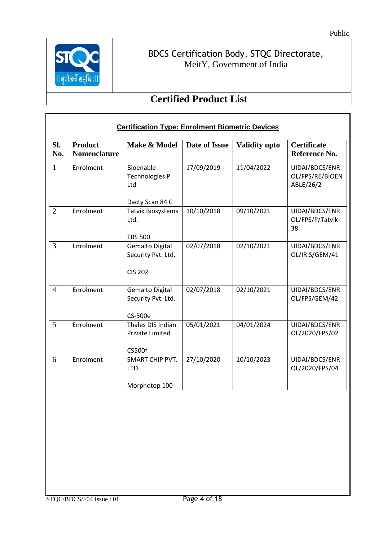

 $\mathsf T$ 

### BDCS Certification Body, STQC Directorate, MeitY, Government of India

<span id="page-3-0"></span>

|                | <b>Certification Type: Enrolment Biometric Devices</b> |                                                                |                      |                      |                                                |  |  |  |
|----------------|--------------------------------------------------------|----------------------------------------------------------------|----------------------|----------------------|------------------------------------------------|--|--|--|
| SI.<br>No.     | <b>Product</b><br><b>Nomenclature</b>                  | Make & Model                                                   | <b>Date of Issue</b> | <b>Validity upto</b> | <b>Certificate</b><br>Reference No.            |  |  |  |
| $\mathbf{1}$   | Enrolment                                              | Bioenable<br><b>Technologies P</b><br>Ltd<br>Dacty Scan 84 C   | 17/09/2019           | 11/04/2022           | UIDAI/BDCS/ENR<br>OL/FPS/RE/BIOEN<br>ABLE/26/2 |  |  |  |
| $\overline{2}$ | Enrolment                                              | <b>Tatvik Biosystems</b><br>Ltd.<br><b>TBS 500</b>             | 10/10/2018           | 09/10/2021           | UIDAI/BDCS/ENR<br>OL/FPS/P/Tatvik-<br>38       |  |  |  |
| 3              | Enrolment                                              | <b>Gemalto Digital</b><br>Security Pvt. Ltd.<br><b>CIS 202</b> | 02/07/2018           | 02/10/2021           | UIDAI/BDCS/ENR<br>OL/IRIS/GEM/41               |  |  |  |
| $\overline{4}$ | Enrolment                                              | <b>Gemalto Digital</b><br>Security Pvt. Ltd.<br><b>CS-500e</b> | 02/07/2018           | 02/10/2021           | UIDAI/BDCS/ENR<br>OL/FPS/GEM/42                |  |  |  |
| $\mathfrak{H}$ | Enrolment                                              | Thales DIS Indian<br><b>Private Limited</b><br><b>CS500f</b>   | 05/01/2021           | 04/01/2024           | UIDAI/BDCS/ENR<br>OL/2020/FPS/02               |  |  |  |
| 6              | Enrolment                                              | <b>SMART CHIP PVT.</b><br><b>LTD</b><br>Morphotop 100          | 27/10/2020           | 10/10/2023           | UIDAI/BDCS/ENR<br>OL/2020/FPS/04               |  |  |  |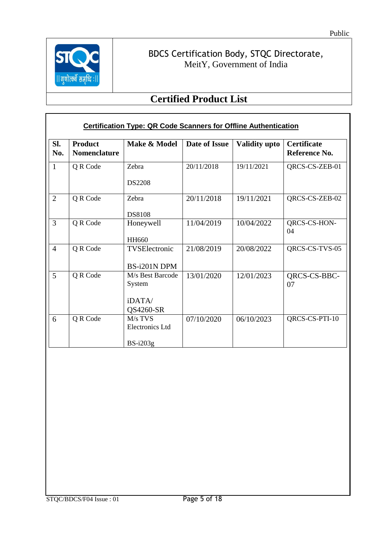

<span id="page-4-0"></span>

|                | <b>Certification Type: QR Code Scanners for Offline Authentication</b> |                                                   |               |                      |                                     |  |  |
|----------------|------------------------------------------------------------------------|---------------------------------------------------|---------------|----------------------|-------------------------------------|--|--|
| Sl.<br>No.     | <b>Product</b><br><b>Nomenclature</b>                                  | Make & Model                                      | Date of Issue | <b>Validity upto</b> | <b>Certificate</b><br>Reference No. |  |  |
| $\mathbf{1}$   | Q R Code                                                               | Zebra<br><b>DS2208</b>                            | 20/11/2018    | 19/11/2021           | QRCS-CS-ZEB-01                      |  |  |
| $\overline{2}$ | Q R Code                                                               | Zebra<br><b>DS8108</b>                            | 20/11/2018    | 19/11/2021           | QRCS-CS-ZEB-02                      |  |  |
| 3              | Q R Code                                                               | Honeywell<br><b>HH660</b>                         | 11/04/2019    | 10/04/2022           | QRCS-CS-HON-<br>04                  |  |  |
| $\overline{4}$ | Q R Code                                                               | TVSElectronic<br>BS-i201N DPM                     | 21/08/2019    | 20/08/2022           | QRCS-CS-TVS-05                      |  |  |
| 5              | Q R Code                                                               | M/s Best Barcode<br>System<br>iDATA/<br>QS4260-SR | 13/01/2020    | 12/01/2023           | QRCS-CS-BBC-<br>07                  |  |  |
| 6              | Q R Code                                                               | $M/s$ TVS<br><b>Electronics Ltd</b><br>$BS-i203g$ | 07/10/2020    | 06/10/2023           | QRCS-CS-PTI-10                      |  |  |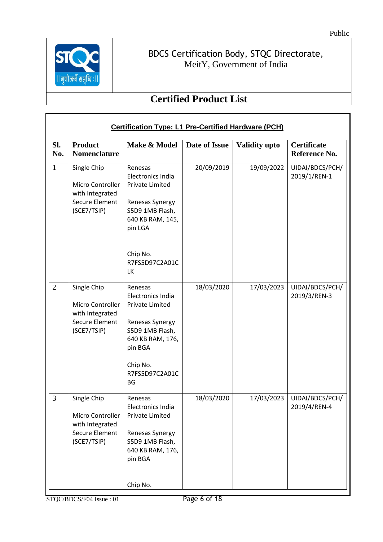

 $\mathbf{r}$ 

### BDCS Certification Body, STQC Directorate, MeitY, Government of India

<span id="page-5-0"></span>

|                | <b>Certification Type: L1 Pre-Certified Hardware (PCH)</b>                                 |                                                                                                                                                                        |               |                      |                                     |  |  |  |
|----------------|--------------------------------------------------------------------------------------------|------------------------------------------------------------------------------------------------------------------------------------------------------------------------|---------------|----------------------|-------------------------------------|--|--|--|
| SI.<br>No.     | <b>Product</b><br><b>Nomenclature</b>                                                      | Make & Model                                                                                                                                                           | Date of Issue | <b>Validity upto</b> | <b>Certificate</b><br>Reference No. |  |  |  |
| $\mathbf{1}$   | Single Chip<br>Micro Controller<br>with Integrated<br>Secure Element<br>(SCE7/TSIP)        | Renesas<br>Electronics India<br><b>Private Limited</b><br>Renesas Synergy<br>S5D9 1MB Flash,<br>640 KB RAM, 145,<br>pin LGA<br>Chip No.<br>R7FS5D97C2A01C<br>LK        | 20/09/2019    | 19/09/2022           | UIDAI/BDCS/PCH/<br>2019/1/REN-1     |  |  |  |
| $\overline{2}$ | Single Chip<br>Micro Controller<br>with Integrated<br>Secure Element<br>(SCE7/TSIP)        | Renesas<br>Electronics India<br><b>Private Limited</b><br>Renesas Synergy<br>S5D9 1MB Flash,<br>640 KB RAM, 176,<br>pin BGA<br>Chip No.<br>R7FS5D97C2A01C<br><b>BG</b> | 18/03/2020    | 17/03/2023           | UIDAI/BDCS/PCH/<br>2019/3/REN-3     |  |  |  |
| 3              | Single Chip<br>Micro Controller<br>with Integrated<br><b>Secure Element</b><br>(SCE7/TSIP) | Renesas<br>Electronics India<br><b>Private Limited</b><br>Renesas Synergy<br>S5D9 1MB Flash,<br>640 KB RAM, 176,<br>pin BGA<br>Chip No.                                | 18/03/2020    | 17/03/2023           | UIDAI/BDCS/PCH/<br>2019/4/REN-4     |  |  |  |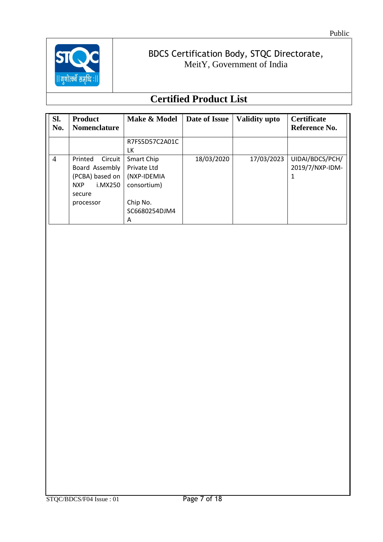

| Sl.<br>No.     | <b>Product</b><br><b>Nomenclature</b>                                                            | Make & Model                                                                              | Date of Issue | <b>Validity upto</b> | <b>Certificate</b><br>Reference No. |
|----------------|--------------------------------------------------------------------------------------------------|-------------------------------------------------------------------------------------------|---------------|----------------------|-------------------------------------|
|                |                                                                                                  | R7FS5D57C2A01C<br>LK                                                                      |               |                      |                                     |
| $\overline{4}$ | Printed<br>Circuit<br>Board Assembly<br>(PCBA) based on<br>i.MX250<br>NXP<br>secure<br>processor | Smart Chip<br>Private Ltd<br>(NXP-IDEMIA<br>consortium)<br>Chip No.<br>SC6680254DJM4<br>A | 18/03/2020    | 17/03/2023           | UIDAI/BDCS/PCH/<br>2019/7/NXP-IDM-  |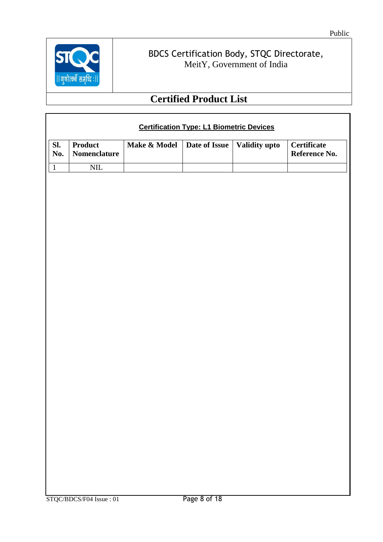

<span id="page-7-0"></span>

|                           | <b>Certification Type: L1 Biometric Devices</b> |              |                               |  |                                     |  |  |
|---------------------------|-------------------------------------------------|--------------|-------------------------------|--|-------------------------------------|--|--|
| Sl.<br>$\blacksquare$ No. | <b>Product</b><br><b>Nomenclature</b>           | Make & Model | Date of Issue   Validity upto |  | <b>Certificate</b><br>Reference No. |  |  |
|                           | NH                                              |              |                               |  |                                     |  |  |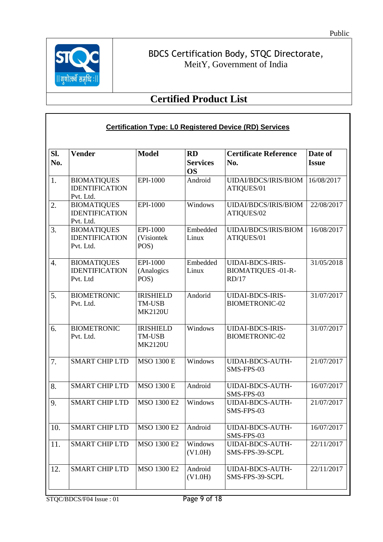

<span id="page-8-0"></span>

|            | <b>Certification Type: L0 Registered Device (RD) Services</b> |                                                     |                                           |                                                               |                         |  |  |
|------------|---------------------------------------------------------------|-----------------------------------------------------|-------------------------------------------|---------------------------------------------------------------|-------------------------|--|--|
| SI.<br>No. | <b>Vender</b>                                                 | <b>Model</b>                                        | <b>RD</b><br><b>Services</b><br><b>OS</b> | <b>Certificate Reference</b><br>No.                           | Date of<br><b>Issue</b> |  |  |
| 1.         | <b>BIOMATIQUES</b><br><b>IDENTIFICATION</b><br>Pvt. Ltd.      | EPI-1000                                            | Android                                   | <b>UIDAI/BDCS/IRIS/BIOM</b><br>ATIQUES/01                     | 16/08/2017              |  |  |
| 2.         | <b>BIOMATIQUES</b><br><b>IDENTIFICATION</b><br>Pvt. Ltd.      | EPI-1000                                            | Windows                                   | <b>UIDAI/BDCS/IRIS/BIOM</b><br>ATIQUES/02                     | 22/08/2017              |  |  |
| 3.         | <b>BIOMATIQUES</b><br><b>IDENTIFICATION</b><br>Pvt. Ltd.      | EPI-1000<br>(Visiontek<br>POS)                      | Embedded<br>Linux                         | <b>UIDAI/BDCS/IRIS/BIOM</b><br>ATIQUES/01                     | 16/08/2017              |  |  |
| 4.         | <b>BIOMATIQUES</b><br><b>IDENTIFICATION</b><br>Pvt. Ltd       | EPI-1000<br>(Analogics<br>POS)                      | Embedded<br>Linux                         | <b>UIDAI-BDCS-IRIS-</b><br><b>BIOMATIQUES -01-R-</b><br>RD/17 | 31/05/2018              |  |  |
| 5.         | <b>BIOMETRONIC</b><br>Pvt. Ltd.                               | <b>IRISHIELD</b><br><b>TM-USB</b><br><b>MK2120U</b> | Andorid                                   | <b>UIDAI-BDCS-IRIS-</b><br><b>BIOMETRONIC-02</b>              | 31/07/2017              |  |  |
| 6.         | <b>BIOMETRONIC</b><br>Pvt. Ltd.                               | <b>IRISHIELD</b><br><b>TM-USB</b><br><b>MK2120U</b> | Windows                                   | <b>UIDAI-BDCS-IRIS-</b><br><b>BIOMETRONIC-02</b>              | 31/07/2017              |  |  |
| 7.         | <b>SMART CHIP LTD</b>                                         | <b>MSO 1300 E</b>                                   | Windows                                   | <b>UIDAI-BDCS-AUTH-</b><br>SMS-FPS-03                         | 21/07/2017              |  |  |
| 8.         | <b>SMART CHIP LTD</b>                                         | <b>MSO 1300 E</b>                                   | Android                                   | <b>UIDAI-BDCS-AUTH-</b><br>SMS-FPS-03                         | 16/07/2017              |  |  |
| 9.         | <b>SMART CHIP LTD</b>                                         | <b>MSO 1300 E2</b>                                  | Windows                                   | <b>UIDAI-BDCS-AUTH-</b><br>SMS-FPS-03                         | 21/07/2017              |  |  |
| 10.        | <b>SMART CHIP LTD</b>                                         | <b>MSO 1300 E2</b>                                  | Android                                   | <b>UIDAI-BDCS-AUTH-</b><br>SMS-FPS-03                         | 16/07/2017              |  |  |
| 11.        | <b>SMART CHIP LTD</b>                                         | <b>MSO 1300 E2</b>                                  | Windows<br>(V1.0H)                        | <b>UIDAI-BDCS-AUTH-</b><br>SMS-FPS-39-SCPL                    | 22/11/2017              |  |  |
| 12.        | <b>SMART CHIP LTD</b>                                         | <b>MSO 1300 E2</b>                                  | Android<br>(V1.0H)                        | <b>UIDAI-BDCS-AUTH-</b><br>SMS-FPS-39-SCPL                    | 22/11/2017              |  |  |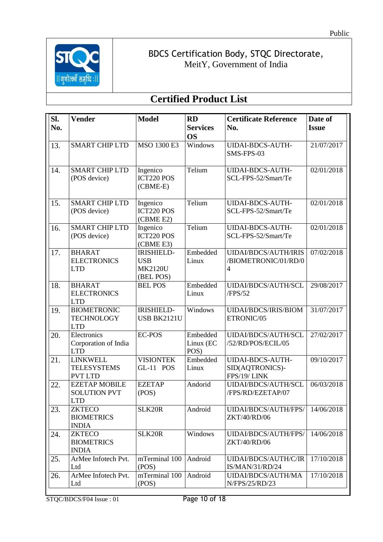

| SI. | <b>Vender</b>                                             | <b>Model</b>                                                   | <b>RD</b>                     | <b>Certificate Reference</b>                                          | Date of      |
|-----|-----------------------------------------------------------|----------------------------------------------------------------|-------------------------------|-----------------------------------------------------------------------|--------------|
| No. |                                                           |                                                                | <b>Services</b>               | No.                                                                   | <b>Issue</b> |
|     |                                                           |                                                                | <b>OS</b>                     |                                                                       |              |
| 13. | <b>SMART CHIP LTD</b>                                     | <b>MSO 1300 E3</b>                                             | Windows                       | UIDAI-BDCS-AUTH-<br>SMS-FPS-03                                        | 21/07/2017   |
| 14. | <b>SMART CHIP LTD</b><br>(POS device)                     | Ingenico<br><b>ICT220 POS</b><br>$(CBME-E)$                    | Telium                        | <b>UIDAI-BDCS-AUTH-</b><br>SCL-FPS-52/Smart/Te                        | 02/01/2018   |
| 15. | <b>SMART CHIP LTD</b><br>(POS device)                     | Ingenico<br><b>ICT220 POS</b><br>(CBME E2)                     | Telium                        | <b>UIDAI-BDCS-AUTH-</b><br>SCL-FPS-52/Smart/Te                        | 02/01/2018   |
| 16. | <b>SMART CHIP LTD</b><br>(POS device)                     | Ingenico<br><b>ICT220 POS</b><br>(CBME E3)                     | Telium                        | <b>UIDAI-BDCS-AUTH-</b><br>SCL-FPS-52/Smart/Te                        | 02/01/2018   |
| 17. | <b>BHARAT</b><br><b>ELECTRONICS</b><br><b>LTD</b>         | <b>IRISHIELD-</b><br><b>USB</b><br><b>MK2120U</b><br>(BEL POS) | Embedded<br>Linux             | <b>UIDAI/BDCS/AUTH/IRIS</b><br>/BIOMETRONIC/01/RD/0<br>$\overline{4}$ | 07/02/2018   |
| 18. | <b>BHARAT</b><br><b>ELECTRONICS</b><br><b>LTD</b>         | <b>BEL POS</b>                                                 | Embedded<br>Linux             | UIDAI/BDCS/AUTH/SCL<br>/FPS/52                                        | 29/08/2017   |
| 19. | <b>BIOMETRONIC</b><br><b>TECHNOLOGY</b><br><b>LTD</b>     | <b>IRISHIELD-</b><br><b>USB BK2121U</b>                        | Windows                       | <b>UIDAI/BDCS/IRIS/BIOM</b><br>ETRONIC/05                             | 31/07/2017   |
| 20. | Electronics<br>Corporation of India<br><b>LTD</b>         | <b>EC-POS</b>                                                  | Embedded<br>Linux (EC<br>POS) | UIDAI/BDCS/AUTH/SCL<br>/52/RD/POS/ECIL/05                             | 27/02/2017   |
| 21. | <b>LINKWELL</b><br><b>TELESYSTEMS</b><br><b>PVT LTD</b>   | <b>VISIONTEK</b><br>GL-11 POS                                  | Embedded<br>Linux             | <b>UIDAI-BDCS-AUTH-</b><br>SID(AQTRONICS)-<br>FPS/19/LINK             | 09/10/2017   |
| 22. | <b>EZETAP MOBILE</b><br><b>SOLUTION PVT</b><br><b>LTD</b> | <b>EZETAP</b><br>(POS)                                         | Andorid                       | UIDAI/BDCS/AUTH/SCL<br>/FPS/RD/EZETAP/07                              | 06/03/2018   |
| 23. | <b>ZKTECO</b><br><b>BIOMETRICS</b><br><b>INDIA</b>        | SLK20R                                                         | Android                       | UIDAI/BDCS/AUTH/FPS/<br>ZKT/40/RD/06                                  | 14/06/2018   |
| 24. | <b>ZKTECO</b><br><b>BIOMETRICS</b><br><b>INDIA</b>        | SLK20R                                                         | Windows                       | UIDAI/BDCS/AUTH/FPS/<br>ZKT/40/RD/06                                  | 14/06/2018   |
| 25. | ArMee Infotech Pvt.<br>Ltd                                | mTerminal 100<br>(POS)                                         | Android                       | UIDAI/BDCS/AUTH/C/IR<br>IS/MAN/31/RD/24                               | 17/10/2018   |
| 26. | ArMee Infotech Pvt.<br>Ltd                                | mTerminal 100<br>(POS)                                         | Android                       | UIDAI/BDCS/AUTH/MA<br>N/FPS/25/RD/23                                  | 17/10/2018   |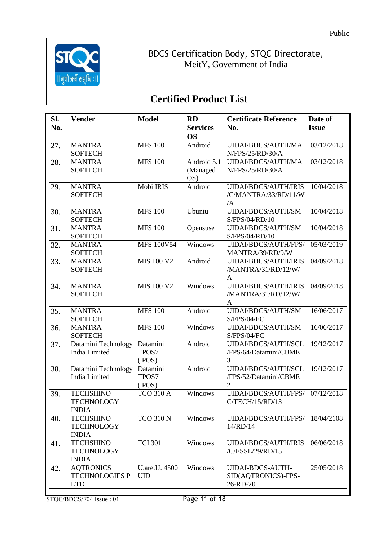

| SI.        | <b>Vender</b>                                                                              | <b>Model</b>                       | <b>RD</b>       | <b>Certificate Reference</b>                                                        | Date of      |
|------------|--------------------------------------------------------------------------------------------|------------------------------------|-----------------|-------------------------------------------------------------------------------------|--------------|
| No.        |                                                                                            |                                    | <b>Services</b> | No.                                                                                 | <b>Issue</b> |
|            |                                                                                            |                                    | <b>OS</b>       |                                                                                     |              |
| 27.        | <b>MANTRA</b>                                                                              | <b>MFS 100</b>                     | Android         | UIDAI/BDCS/AUTH/MA                                                                  | 03/12/2018   |
|            | <b>SOFTECH</b>                                                                             |                                    |                 | N/FPS/25/RD/30/A                                                                    |              |
| 28.        | <b>MANTRA</b>                                                                              | <b>MFS 100</b>                     | Android 5.1     | UIDAI/BDCS/AUTH/MA                                                                  | 03/12/2018   |
|            | <b>SOFTECH</b>                                                                             |                                    | (Managed        | N/FPS/25/RD/30/A                                                                    |              |
|            |                                                                                            |                                    | OS)             |                                                                                     |              |
| 29.        | <b>MANTRA</b>                                                                              | Mobi IRIS                          | Android         | <b>UIDAI/BDCS/AUTH/IRIS</b>                                                         | 10/04/2018   |
|            | <b>SOFTECH</b>                                                                             |                                    |                 | /C/MANTRA/33/RD/11/W                                                                |              |
|            |                                                                                            |                                    |                 | /A                                                                                  |              |
| 30.        | <b>MANTRA</b>                                                                              | <b>MFS 100</b>                     | Ubuntu          | UIDAI/BDCS/AUTH/SM                                                                  | 10/04/2018   |
|            | <b>SOFTECH</b>                                                                             |                                    |                 | S/FPS/04/RD/10                                                                      |              |
| 31.        | <b>MANTRA</b>                                                                              | <b>MFS 100</b>                     | Opensuse        | UIDAI/BDCS/AUTH/SM                                                                  | 10/04/2018   |
|            | <b>SOFTECH</b>                                                                             |                                    |                 | S/FPS/04/RD/10                                                                      |              |
| 32.        | <b>MANTRA</b>                                                                              | <b>MFS 100V54</b>                  | Windows         | UIDAI/BDCS/AUTH/FPS/                                                                | 05/03/2019   |
|            | <b>SOFTECH</b>                                                                             |                                    |                 | MANTRA/39/RD/9/W                                                                    |              |
| 33.        | <b>MANTRA</b>                                                                              | <b>MIS 100 V2</b>                  | Android         | <b>UIDAI/BDCS/AUTH/IRIS</b>                                                         | 04/09/2018   |
|            | <b>SOFTECH</b>                                                                             |                                    |                 | /MANTRA/31/RD/12/W/                                                                 |              |
|            |                                                                                            |                                    |                 | $\mathbf{A}$                                                                        |              |
| 34.        | <b>MANTRA</b>                                                                              | <b>MIS 100 V2</b>                  | Windows         | <b>UIDAI/BDCS/AUTH/IRIS</b>                                                         | 04/09/2018   |
|            | <b>SOFTECH</b>                                                                             |                                    |                 | /MANTRA/31/RD/12/W/                                                                 |              |
|            |                                                                                            |                                    |                 | A                                                                                   |              |
| 35.        | <b>MANTRA</b>                                                                              | <b>MFS 100</b>                     | Android         | UIDAI/BDCS/AUTH/SM                                                                  | 16/06/2017   |
|            | <b>SOFTECH</b>                                                                             |                                    |                 | S/FPS/04/FC                                                                         |              |
| 36.        | <b>MANTRA</b>                                                                              | <b>MFS 100</b>                     | Windows         | UIDAI/BDCS/AUTH/SM                                                                  | 16/06/2017   |
|            | <b>SOFTECH</b>                                                                             |                                    |                 | S/FPS/04/FC                                                                         |              |
| 37.        | Datamini Technology                                                                        | Datamini                           | Android         | UIDAI/BDCS/AUTH/SCL                                                                 | 19/12/2017   |
|            | India Limited                                                                              | TPOS7                              |                 | /FPS/64/Datamini/CBME<br>3                                                          |              |
|            | Datamini Technology                                                                        | (POS)<br>Datamini                  | Android         | UIDAI/BDCS/AUTH/SCL                                                                 | 19/12/2017   |
| 38.        | <b>India Limited</b>                                                                       | TPOS7                              |                 | /FPS/52/Datamini/CBME                                                               |              |
|            |                                                                                            | (POS)                              |                 | $\overline{2}$                                                                      |              |
| 39.        | <b>TECHSHINO</b>                                                                           | <b>TCO 310 A</b>                   | Windows         | UIDAI/BDCS/AUTH/FPS/                                                                | 07/12/2018   |
|            | <b>TECHNOLOGY</b>                                                                          |                                    |                 | C/TECH/15/RD/13                                                                     |              |
|            |                                                                                            |                                    |                 |                                                                                     |              |
|            |                                                                                            |                                    |                 |                                                                                     | 18/04/2108   |
|            |                                                                                            |                                    |                 |                                                                                     |              |
|            |                                                                                            |                                    |                 |                                                                                     |              |
|            | <b>TECHSHINO</b>                                                                           |                                    | Windows         |                                                                                     | 06/06/2018   |
|            |                                                                                            |                                    |                 |                                                                                     |              |
|            | <b>INDIA</b>                                                                               |                                    |                 |                                                                                     |              |
| 42.        | <b>AQTRONICS</b>                                                                           | U.are.U. 4500                      | Windows         | <b>UIDAI-BDCS-AUTH-</b>                                                             | 25/05/2018   |
|            | <b>TECHNOLOGIES P</b>                                                                      | <b>UID</b>                         |                 | SID(AQTRONICS)-FPS-                                                                 |              |
|            | <b>LTD</b>                                                                                 |                                    |                 | 26-RD-20                                                                            |              |
| 40.<br>41. | <b>INDIA</b><br><b>TECHSHINO</b><br><b>TECHNOLOGY</b><br><b>INDIA</b><br><b>TECHNOLOGY</b> | <b>TCO 310 N</b><br><b>TCI 301</b> | Windows         | UIDAI/BDCS/AUTH/FPS/<br>14/RD/14<br><b>UIDAI/BDCS/AUTH/IRIS</b><br>/C/ESSL/29/RD/15 |              |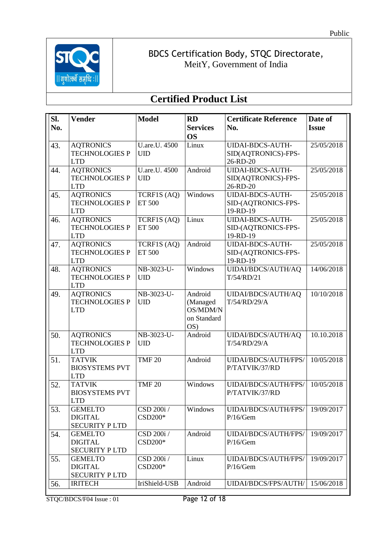

| Sl. | <b>Vender</b>                       | <b>Model</b>  | <b>RD</b>       | <b>Certificate Reference</b>        | Date of      |
|-----|-------------------------------------|---------------|-----------------|-------------------------------------|--------------|
| No. |                                     |               | <b>Services</b> | No.                                 | <b>Issue</b> |
|     |                                     |               | <b>OS</b>       |                                     |              |
| 43. | <b>AQTRONICS</b>                    | U.are.U. 4500 | Linux           | UIDAI-BDCS-AUTH-                    | 25/05/2018   |
|     | <b>TECHNOLOGIES P</b>               | <b>UID</b>    |                 | SID(AQTRONICS)-FPS-                 |              |
|     | <b>LTD</b>                          |               |                 | 26-RD-20                            |              |
| 44. | <b>AQTRONICS</b>                    | U.are.U. 4500 | Android         | <b>UIDAI-BDCS-AUTH-</b>             | 25/05/2018   |
|     | <b>TECHNOLOGIES P</b>               | <b>UID</b>    |                 | SID(AQTRONICS)-FPS-                 |              |
|     | <b>LTD</b>                          |               |                 | 26-RD-20                            |              |
| 45. | <b>AQTRONICS</b>                    | TCRF1S (AQ)   | Windows         | <b>UIDAI-BDCS-AUTH-</b>             | 25/05/2018   |
|     | <b>TECHNOLOGIES P</b>               | ET 500        |                 | SID-(AQTRONICS-FPS-                 |              |
|     | <b>LTD</b>                          |               |                 | 19-RD-19                            |              |
| 46. | <b>AQTRONICS</b>                    | TCRF1S (AQ)   | Linux           | UIDAI-BDCS-AUTH-                    | 25/05/2018   |
|     | <b>TECHNOLOGIES P</b><br><b>LTD</b> | ET 500        |                 | SID-(AQTRONICS-FPS-                 |              |
| 47. | <b>AQTRONICS</b>                    | TCRF1S (AQ)   | Android         | 19-RD-19<br><b>UIDAI-BDCS-AUTH-</b> | 25/05/2018   |
|     | <b>TECHNOLOGIES P</b>               | ET 500        |                 | SID-(AQTRONICS-FPS-                 |              |
|     | <b>LTD</b>                          |               |                 | 19-RD-19                            |              |
| 48. | <b>AQTRONICS</b>                    | NB-3023-U-    | Windows         | UIDAI/BDCS/AUTH/AQ                  | 14/06/2018   |
|     | <b>TECHNOLOGIES P</b>               | <b>UID</b>    |                 | T/54/RD/21                          |              |
|     | <b>LTD</b>                          |               |                 |                                     |              |
| 49. | <b>AQTRONICS</b>                    | NB-3023-U-    | Android         | UIDAI/BDCS/AUTH/AQ                  | 10/10/2018   |
|     | <b>TECHNOLOGIES P</b>               | <b>UID</b>    | (Managed        | T/54/RD/29/A                        |              |
|     | <b>LTD</b>                          |               | OS/MDM/N        |                                     |              |
|     |                                     |               | on Standard     |                                     |              |
|     |                                     |               | OS)             |                                     |              |
| 50. | <b>AQTRONICS</b>                    | NB-3023-U-    | Android         | UIDAI/BDCS/AUTH/AQ                  | 10.10.2018   |
|     | <b>TECHNOLOGIES P</b>               | <b>UID</b>    |                 | T/54/RD/29/A                        |              |
|     | <b>LTD</b>                          |               |                 |                                     |              |
| 51. | <b>TATVIK</b>                       | <b>TMF 20</b> | Android         | UIDAI/BDCS/AUTH/FPS/                | 10/05/2018   |
|     | <b>BIOSYSTEMS PVT</b>               |               |                 | P/TATVIK/37/RD                      |              |
|     | <b>LTD</b>                          |               |                 |                                     |              |
| 52. | <b>TATVIK</b>                       | <b>TMF 20</b> | Windows         | UIDAI/BDCS/AUTH/FPS/                | 10/05/2018   |
|     | <b>BIOSYSTEMS PVT</b>               |               |                 | P/TATVIK/37/RD                      |              |
|     | LTD                                 |               |                 |                                     |              |
| 53. | <b>GEMELTO</b>                      | CSD 200i /    | Windows         | UIDAI/BDCS/AUTH/FPS/                | 19/09/2017   |
|     | <b>DIGITAL</b>                      | CSD200*       |                 | P/16/Gem                            |              |
|     | <b>SECURITY PLTD</b>                |               |                 |                                     |              |
| 54. | <b>GEMELTO</b><br><b>DIGITAL</b>    | CSD 200i /    | Android         | UIDAI/BDCS/AUTH/FPS/                | 19/09/2017   |
|     | <b>SECURITY PLTD</b>                | CSD200*       |                 | P/16/Gem                            |              |
| 55. | <b>GEMELTO</b>                      | CSD 200i /    | Linux           | UIDAI/BDCS/AUTH/FPS/                | 19/09/2017   |
|     | <b>DIGITAL</b>                      | CSD200*       |                 | P/16/Gem                            |              |
|     | <b>SECURITY PLTD</b>                |               |                 |                                     |              |
| 56. | <b>IRITECH</b>                      | IriShield-USB | Android         | UIDAI/BDCS/FPS/AUTH/                | 15/06/2018   |
|     |                                     |               |                 |                                     |              |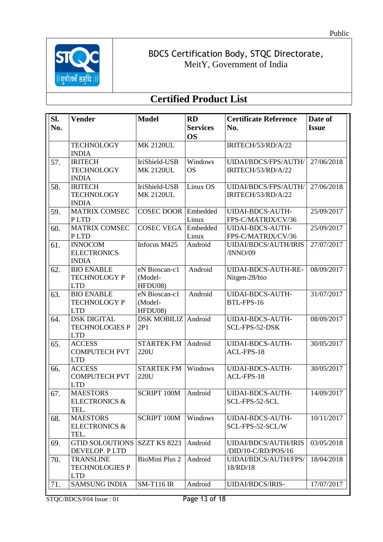

## **Certified Product List**

| SI. | <b>Vender</b>                                        | <b>Model</b>          | <b>RD</b>                    | <b>Certificate Reference</b>            | Date of      |
|-----|------------------------------------------------------|-----------------------|------------------------------|-----------------------------------------|--------------|
| No. |                                                      |                       | <b>Services</b>              | No.                                     | <b>Issue</b> |
|     |                                                      |                       | <b>OS</b>                    |                                         |              |
|     | <b>TECHNOLOGY</b><br><b>INDIA</b>                    | <b>MK 2120UL</b>      |                              | IRITECH/53/RD/A/22                      |              |
| 57. | <b>IRITECH</b>                                       | IriShield-USB         | Windows                      | UIDAI/BDCS/FPS/AUTH/                    | 27/06/2018   |
|     | <b>TECHNOLOGY</b><br><b>INDIA</b>                    | <b>MK 2120UL</b>      | <b>OS</b>                    | IRITECH/53/RD/A/22                      |              |
| 58. | <b>IRITECH</b>                                       | IriShield-USB         | $\overline{\text{Linux}}$ OS | UIDAI/BDCS/FPS/AUTH/                    | 27/06/2018   |
|     | <b>TECHNOLOGY</b><br><b>INDIA</b>                    | <b>MK 2120UL</b>      |                              | IRITECH/53/RD/A/22                      |              |
| 59. | <b>MATRIX COMSEC</b>                                 | <b>COSEC DOOR</b>     | Embedded                     | <b>UIDAI-BDCS-AUTH-</b>                 | 25/09/2017   |
|     | PLTD                                                 |                       | Linux                        | FPS-C/MATRIX/CV/36                      |              |
| 60. | <b>MATRIX COMSEC</b>                                 | <b>COSEC VEGA</b>     | Embedded                     | <b>UIDAI-BDCS-AUTH-</b>                 | 25/09/2017   |
|     | <b>PLTD</b>                                          |                       | Linux                        | FPS-C/MATRIX/CV/36                      |              |
| 61. | <b>INNOCOM</b><br><b>ELECTRONICS</b><br><b>INDIA</b> | Infocus M425          | Android                      | <b>UIDAI/BDCS/AUTH/IRIS</b><br>/INNO/09 | 27/07/2017   |
| 62. | <b>BIO ENABLE</b>                                    | eN Bioscan-c1         | Android                      | UIDAI-BDCS-AUTH-RE-                     | 08/09/2017   |
|     | <b>TECHNOLOGY P</b>                                  | (Model-               |                              | Nitgen-28/bio                           |              |
|     | <b>LTD</b>                                           | HFDU08)               |                              |                                         |              |
| 63. | <b>BIO ENABLE</b>                                    | eN Bioscan-c1         | Android                      | <b>UIDAI-BDCS-AUTH-</b>                 | 31/07/2017   |
|     | <b>TECHNOLOGY P</b>                                  | (Model-               |                              | BTL-FPS-16                              |              |
|     | <b>LTD</b>                                           | HFDU08)               |                              |                                         |              |
| 64. | <b>DSK DIGITAL</b>                                   | <b>DSK MOBILIZ</b>    | Android                      | <b>UIDAI-BDCS-AUTH-</b>                 | 08/09/2017   |
|     | <b>TECHNOLOGIES P</b><br><b>LTD</b>                  | 2P1                   |                              | SCL-FPS-52-DSK                          |              |
| 65. | <b>ACCESS</b>                                        | <b>STARTEK FM</b>     | Android                      | <b>UIDAI-BDCS-AUTH-</b>                 | 30/05/2017   |
|     | <b>COMPUTECH PVT</b>                                 | 220U                  |                              | ACL-FPS-18                              |              |
|     | <b>LTD</b>                                           |                       |                              |                                         |              |
| 66. | <b>ACCESS</b>                                        | <b>STARTEK FM</b>     | Windows                      | <b>UIDAI-BDCS-AUTH-</b>                 | 30/05/2017   |
|     | <b>COMPUTECH PVT</b><br><b>LTD</b>                   | 220U                  |                              | ACL-FPS-18                              |              |
| 67. | <b>MAESTORS</b>                                      | <b>SCRIPT 100M</b>    | Android                      | <b>UIDAI-BDCS-AUTH-</b>                 | 14/09/2017   |
|     | <b>ELECTRONICS &amp;</b>                             |                       |                              | SCL-FPS-52-SCL                          |              |
|     | TEL.                                                 |                       |                              |                                         |              |
| 68. | <b>MAESTORS</b>                                      | <b>SCRIPT 100M</b>    | Windows                      | <b>UIDAI-BDCS-AUTH-</b>                 | 10/11/2017   |
|     | <b>ELECTRONICS &amp;</b>                             |                       |                              | SCL-FPS-52-SCL/W                        |              |
|     | TEL.                                                 |                       |                              |                                         |              |
| 69. | <b>GTID SOLOUTIONS</b>                               | <b>SZZT KS 8223</b>   | Android                      | <b>UIDAI/BDCS/AUTH/IRIS</b>             | 03/05/2018   |
|     | DEVELOP. PLTD                                        |                       |                              | /DID/10-C/RD/POS/16                     |              |
| 70. | <b>TRANSLINE</b>                                     | <b>BioMini Plus 2</b> | Android                      | UIDAI/BDCS/AUTH/FPS/                    | 18/04/2018   |
|     | <b>TECHNOLOGIES P</b>                                |                       |                              | 18/RD/18                                |              |
|     | <b>LTD</b>                                           |                       |                              |                                         |              |
| 71. | <b>SAMSUNG INDIA</b>                                 | <b>SM-T116 IR</b>     | Android                      | <b>UIDAI/BDCS/IRIS-</b>                 | 17/07/2017   |

STQC/BDCS/F04 Issue : 01 Page 13 of 18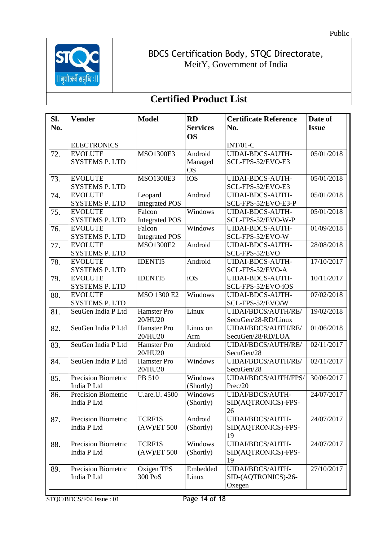

| SI. | <b>Vender</b>              | <b>Model</b>          | <b>RD</b>       | <b>Certificate Reference</b> | Date of      |
|-----|----------------------------|-----------------------|-----------------|------------------------------|--------------|
| No. |                            |                       | <b>Services</b> | No.                          | <b>Issue</b> |
|     |                            |                       | <b>OS</b>       |                              |              |
|     | <b>ELECTRONICS</b>         |                       |                 | $INT/01-C$                   |              |
| 72. | <b>EVOLUTE</b>             | <b>MSO1300E3</b>      | Android         | <b>UIDAI-BDCS-AUTH-</b>      | 05/01/2018   |
|     | <b>SYSTEMS P. LTD</b>      |                       | Managed         | SCL-FPS-52/EVO-E3            |              |
|     |                            |                       | <b>OS</b>       |                              |              |
| 73. | <b>EVOLUTE</b>             | <b>MSO1300E3</b>      | iOS             | <b>UIDAI-BDCS-AUTH-</b>      | 05/01/2018   |
|     | <b>SYSTEMS P. LTD</b>      |                       |                 | SCL-FPS-52/EVO-E3            |              |
| 74. | <b>EVOLUTE</b>             | Leopard               | Android         | <b>UIDAI-BDCS-AUTH-</b>      | 05/01/2018   |
|     | <b>SYSTEMS P. LTD</b>      | <b>Integrated POS</b> |                 | SCL-FPS-52/EVO-E3-P          |              |
| 75. | <b>EVOLUTE</b>             | Falcon                | Windows         | <b>UIDAI-BDCS-AUTH-</b>      | 05/01/2018   |
|     | <b>SYSTEMS P. LTD</b>      | <b>Integrated POS</b> |                 | SCL-FPS-52/EVO-W-P           |              |
| 76. | <b>EVOLUTE</b>             | Falcon                | Windows         | <b>UIDAI-BDCS-AUTH-</b>      | 01/09/2018   |
|     | <b>SYSTEMS P. LTD</b>      | <b>Integrated POS</b> |                 | SCL-FPS-52/EVO-W             |              |
| 77. | <b>EVOLUTE</b>             | <b>MSO1300E2</b>      | Android         | <b>UIDAI-BDCS-AUTH-</b>      | 28/08/2018   |
|     | <b>SYSTEMS P. LTD</b>      |                       |                 | SCL-FPS-52/EVO               |              |
| 78. | <b>EVOLUTE</b>             | <b>IDENTI5</b>        | Android         | <b>UIDAI-BDCS-AUTH-</b>      | 17/10/2017   |
|     | <b>SYSTEMS P. LTD</b>      |                       |                 | SCL-FPS-52/EVO-A             |              |
| 79. | <b>EVOLUTE</b>             | <b>IDENTI5</b>        | iOS             | <b>UIDAI-BDCS-AUTH-</b>      | 10/11/2017   |
|     | <b>SYSTEMS P. LTD</b>      |                       |                 | SCL-FPS-52/EVO-iOS           |              |
| 80. | <b>EVOLUTE</b>             | <b>MSO 1300 E2</b>    | Windows         | <b>UIDAI-BDCS-AUTH-</b>      | 07/02/2018   |
|     | <b>SYSTEMS P. LTD</b>      |                       |                 | SCL-FPS-52/EVO/W             |              |
| 81. | SeuGen India P Ltd         | Hamster Pro           | Linux           | UIDAI/BDCS/AUTH/RE/          | 19/02/2018   |
|     |                            | 20/HU20               |                 | SecuGen/28-RD/Linux          |              |
| 82. | SeuGen India P Ltd         | Hamster Pro           | Linux on        | UIDAI/BDCS/AUTH/RE/          | 01/06/2018   |
|     |                            | 20/HU20               | Arm             | SecuGen/28/RD/LOA            |              |
| 83. | SeuGen India P Ltd         | Hamster Pro           | Android         | UIDAI/BDCS/AUTH/RE/          | 02/11/2017   |
|     |                            | 20/HU20               |                 | SecuGen/28                   |              |
| 84. | SeuGen India P Ltd         | Hamster Pro           | Windows         | UIDAI/BDCS/AUTH/RE/          | 02/11/2017   |
|     |                            | 20/HU20               |                 | SecuGen/28                   |              |
| 85. | <b>Precision Biometric</b> | PB 510                | Windows         | UIDAI/BDCS/AUTH/FPS/         | 30/06/2017   |
|     | India P Ltd                |                       | (Shortly)       | Prec/20                      |              |
| 86. | Precision Biometric        | U.are.U. 4500         | Windows         | UIDAI/BDCS/AUTH-             | 24/07/2017   |
|     | India P Ltd                |                       | (Shortly)       | SID(AQTRONICS)-FPS-          |              |
|     |                            |                       |                 | 26                           |              |
| 87. | Precision Biometric        | TCRF1S                | Android         | <b>UIDAI/BDCS/AUTH-</b>      | 24/07/2017   |
|     | India P Ltd                | (AW)/ET 500           | (Shortly)       | SID(AQTRONICS)-FPS-          |              |
|     |                            |                       |                 | 19                           |              |
| 88. | Precision Biometric        | <b>TCRF1S</b>         | Windows         | <b>UIDAI/BDCS/AUTH-</b>      | 24/07/2017   |
|     | India P Ltd                | (AW)/ET 500           | (Shortly)       | SID(AQTRONICS)-FPS-          |              |
|     |                            |                       |                 | 19                           |              |
| 89. | Precision Biometric        | Oxigen TPS            | Embedded        | UIDAI/BDCS/AUTH-             | 27/10/2017   |
|     | India P Ltd                | 300 PoS               | Linux           | SID-(AQTRONICS)-26-          |              |
|     |                            |                       |                 | Oxegen                       |              |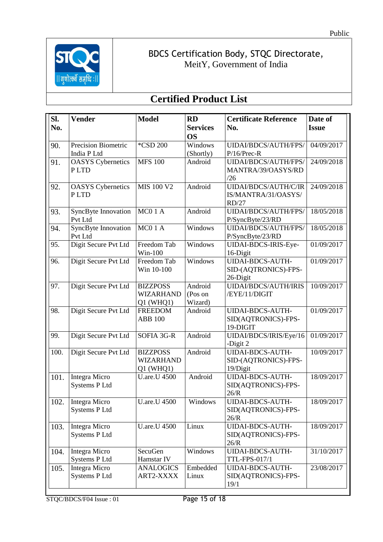

| Sl.  | <b>Vender</b>                  | <b>Model</b>        | <b>RD</b>       | <b>Certificate Reference</b>             | Date of      |
|------|--------------------------------|---------------------|-----------------|------------------------------------------|--------------|
| No.  |                                |                     | <b>Services</b> | No.                                      | <b>Issue</b> |
|      |                                |                     | <b>OS</b>       |                                          |              |
| 90.  | Precision Biometric            | *CSD 200            | Windows         | UIDAI/BDCS/AUTH/FPS/                     | 04/09/2017   |
|      | India P Ltd                    |                     | (Shortly)       | $P/16/Prec-R$                            |              |
| 91.  | <b>OASYS</b> Cybernetics       | <b>MFS 100</b>      | Android         | UIDAI/BDCS/AUTH/FPS/                     | 24/09/2018   |
|      | PLTD                           |                     |                 | MANTRA/39/OASYS/RD                       |              |
|      |                                |                     |                 | /26                                      |              |
| 92.  | <b>OASYS</b> Cybernetics       | <b>MIS 100 V2</b>   | Android         | UIDAI/BDCS/AUTH/C/IR                     | 24/09/2018   |
|      | PLTD                           |                     |                 | IS/MANTRA/31/OASYS/                      |              |
|      |                                |                     |                 | RD/27                                    |              |
| 93.  | SyncByte Innovation            | MC01A               | Android         | UIDAI/BDCS/AUTH/FPS/                     | 18/05/2018   |
|      | Pvt Ltd                        |                     |                 | P/SyncByte/23/RD                         |              |
| 94.  | SyncByte Innovation            | MC01A               | Windows         | UIDAI/BDCS/AUTH/FPS/                     | 18/05/2018   |
|      | Pvt Ltd                        |                     |                 | P/SyncByte/23/RD                         |              |
| 95.  | Digit Secure Pvt Ltd           | Freedom Tab         | Windows         | UIDAI-BDCS-IRIS-Eye-                     | 01/09/2017   |
|      |                                | $Win-100$           |                 | 16-Digit                                 |              |
| 96.  | Digit Secure Pvt Ltd           | Freedom Tab         | Windows         | <b>UIDAI-BDCS-AUTH-</b>                  | 01/09/2017   |
|      |                                | Win 10-100          |                 | SID-(AQTRONICS)-FPS-                     |              |
|      |                                |                     |                 | 26-Digit                                 |              |
| 97.  | Digit Secure Pvt Ltd           | <b>BIZZPOSS</b>     | Android         | <b>UIDAI/BDCS/AUTH/IRIS</b>              | 10/09/2017   |
|      |                                | <b>WIZARHAND</b>    | (Pos on         | /EYE/11/DIGIT                            |              |
|      |                                | $Q1$ (WHQ1)         | Wizard)         |                                          |              |
| 98.  | Digit Secure Pvt Ltd           | <b>FREEDOM</b>      | Android         | UIDAI-BDCS-AUTH-                         | 01/09/2017   |
|      |                                | <b>ABB 100</b>      |                 | SID(AQTRONICS)-FPS-                      |              |
|      |                                |                     |                 | 19-DIGIT                                 |              |
| 99.  | Digit Secure Pvt Ltd           | SOFIA 3G-R          | Android         | UIDAI/BDCS/IRIS/Eye/16                   | 01/09/2017   |
|      |                                |                     |                 | -Digit 2                                 |              |
| 100. | Digit Secure Pvt Ltd           | <b>BIZZPOSS</b>     | Android         | <b>UIDAI-BDCS-AUTH-</b>                  | 10/09/2017   |
|      |                                | <b>WIZARHAND</b>    |                 | SID-(AQTRONICS)-FPS-                     |              |
|      |                                | $Q1$ (WHQ1)         |                 | 19/Digit                                 |              |
| 101. | Integra Micro                  | <b>U.are.U 4500</b> | Android         | <b>UIDAI-BDCS-AUTH-</b>                  | 18/09/2017   |
|      | Systems P Ltd                  |                     |                 | SID(AQTRONICS)-FPS-                      |              |
|      |                                |                     |                 | 26/R                                     |              |
| 102. | Integra Micro                  | U.are.U 4500        | Windows         | UIDAI-BDCS-AUTH-                         | 18/09/2017   |
|      | <b>Systems P Ltd</b>           |                     |                 | SID(AQTRONICS)-FPS-                      |              |
|      |                                | <b>U.are.U 4500</b> | Linux           | 26/R<br><b>UIDAI-BDCS-AUTH-</b>          |              |
| 103. | Integra Micro<br>Systems P Ltd |                     |                 |                                          | 18/09/2017   |
|      |                                |                     |                 | SID(AQTRONICS)-FPS-                      |              |
|      |                                | SecuGen             | Windows         | 26/R                                     | 31/10/2017   |
| 104. | Integra Micro                  | Hamstar IV          |                 | <b>UIDAI-BDCS-AUTH-</b>                  |              |
|      | Systems P Ltd                  |                     | Embedded        | TTL-FPS-017/1<br><b>UIDAI-BDCS-AUTH-</b> | 23/08/2017   |
| 105. | Integra Micro                  | <b>ANALOGICS</b>    |                 |                                          |              |
|      | <b>Systems P Ltd</b>           | ART2-XXXX           | Linux           | SID(AQTRONICS)-FPS-                      |              |
|      |                                |                     |                 | 19/1                                     |              |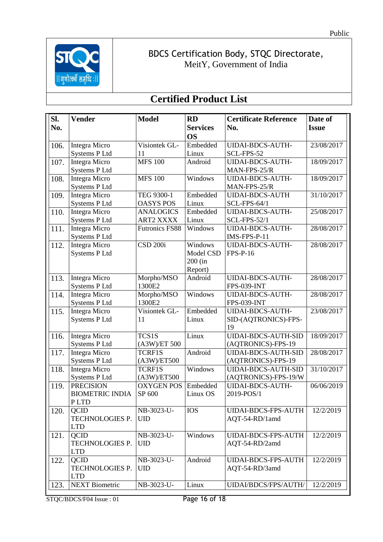

## **Certified Product List**

| Sl.  | <b>Vender</b>          | <b>Model</b>          | <b>RD</b>       | <b>Certificate Reference</b> | Date of      |
|------|------------------------|-----------------------|-----------------|------------------------------|--------------|
| No.  |                        |                       | <b>Services</b> | No.                          | <b>Issue</b> |
|      |                        |                       | <b>OS</b>       |                              |              |
| 106. | <b>Integra Micro</b>   | Visiontek GL-         | Embedded        | <b>UIDAI-BDCS-AUTH-</b>      | 23/08/2017   |
|      | Systems P Ltd          | 11                    | Linux           | SCL-FPS-52                   |              |
| 107. | <b>Integra Micro</b>   | <b>MFS 100</b>        | Android         | <b>UIDAI-BDCS-AUTH-</b>      | 18/09/2017   |
|      | Systems P Ltd          |                       |                 | MAN-FPS-25/R                 |              |
| 108. | <b>Integra Micro</b>   | <b>MFS 100</b>        | Windows         | <b>UIDAI-BDCS-AUTH-</b>      | 18/09/2017   |
|      | Systems P Ltd          |                       |                 | MAN-FPS-25/R                 |              |
| 109. | <b>Integra Micro</b>   | TEG 9300-1            | Embedded        | <b>UIDAI-BDCS-AUTH</b>       | 31/10/2017   |
|      | Systems P Ltd          | <b>OASYS POS</b>      | Linux           | <b>SCL-FPS-64/1</b>          |              |
| 110. | <b>Integra Micro</b>   | <b>ANALOGICS</b>      | Embedded        | <b>UIDAI-BDCS-AUTH-</b>      | 25/08/2017   |
|      | Systems P Ltd          | <b>ART2 XXXX</b>      | Linux           | <b>SCL-FPS-52/1</b>          |              |
| 111. | <b>Integra Micro</b>   | <b>Futronics FS88</b> | Windows         | <b>UIDAI-BDCS-AUTH-</b>      | 28/08/2017   |
|      | <b>Systems P Ltd</b>   |                       |                 | IMS-FPS-P-11                 |              |
| 112. | Integra Micro          | <b>CSD 200i</b>       | Windows         | <b>UIDAI-BDCS-AUTH-</b>      | 28/08/2017   |
|      | <b>Systems P Ltd</b>   |                       | Model CSD       | <b>FPS-P-16</b>              |              |
|      |                        |                       | 200 (in         |                              |              |
|      |                        |                       | Report)         |                              |              |
| 113. | Integra Micro          | Morpho/MSO            | Android         | <b>UIDAI-BDCS-AUTH-</b>      | 28/08/2017   |
|      | Systems P Ltd          | 1300E2                |                 | <b>FPS-039-INT</b>           |              |
| 114. | <b>Integra Micro</b>   | Morpho/MSO            | Windows         | <b>UIDAI-BDCS-AUTH-</b>      | 28/08/2017   |
|      | Systems P Ltd          | 1300E2                |                 | <b>FPS-039-INT</b>           |              |
| 115. | Integra Micro          | Visiontek GL-         | Embedded        | <b>UIDAI-BDCS-AUTH-</b>      | 23/08/2017   |
|      | <b>Systems P Ltd</b>   | 11                    | Linux           | SID-(AQTRONICS)-FPS-         |              |
|      |                        |                       |                 | 19                           |              |
| 116. | <b>Integra Micro</b>   | TCS1S                 | Linux           | <b>UIDAI-BDCS-AUTH-SID</b>   | 18/09/2017   |
|      | Systems P Ltd          | (A3W/ET 500           |                 | (AQTRONICS)-FPS-19           |              |
| 117. | <b>Integra Micro</b>   | <b>TCRF1S</b>         | Android         | <b>UIDAI-BDCS-AUTH-SID</b>   | 28/08/2017   |
|      | <b>Systems P Ltd</b>   | $(A3W)$ /ET500        |                 | (AQTRONICS)-FPS-19           |              |
| 118. | <b>Integra Micro</b>   | <b>TCRF1S</b>         | Windows         | <b>UIDAI-BDCS-AUTH-SID</b>   | 31/10/2017   |
|      | Systems P Ltd          | $(A3W)$ /ET500        |                 | (AQTRONICS)-FPS-19/W         |              |
| 119. | <b>PRECISION</b>       | <b>OXYGEN POS</b>     | Embedded        | <b>UIDAI-BDCS-AUTH-</b>      | 06/06/2019   |
|      | <b>BIOMETRIC INDIA</b> | SP 600                | Linux OS        | 2019-POS/1                   |              |
|      | P LTD                  |                       |                 |                              |              |
| 120. | QCID                   | NB-3023-U-            | <b>IOS</b>      | <b>UIDAI-BDCS-FPS-AUTH</b>   | 12/2/2019    |
|      | TECHNOLOGIES P.        | <b>UID</b>            |                 | AQT-54-RD/1amd               |              |
|      | <b>LTD</b>             |                       |                 |                              |              |
| 121. | <b>QCID</b>            | NB-3023-U-            | Windows         | <b>UIDAI-BDCS-FPS-AUTH</b>   | 12/2/2019    |
|      | TECHNOLOGIES P.        | <b>UID</b>            |                 | AQT-54-RD/2amd               |              |
|      | <b>LTD</b>             |                       |                 |                              |              |
| 122. | <b>QCID</b>            | NB-3023-U-            | Android         | <b>UIDAI-BDCS-FPS-AUTH</b>   | 12/2/2019    |
|      | TECHNOLOGIES P.        | <b>UID</b>            |                 | AQT-54-RD/3amd               |              |
|      | <b>LTD</b>             |                       |                 |                              |              |
| 123. | <b>NEXT Biometric</b>  | NB-3023-U-            | Linux           | UIDAI/BDCS/FPS/AUTH/         | 12/2/2019    |

STQC/BDCS/F04 Issue : 01 Page 16 of 18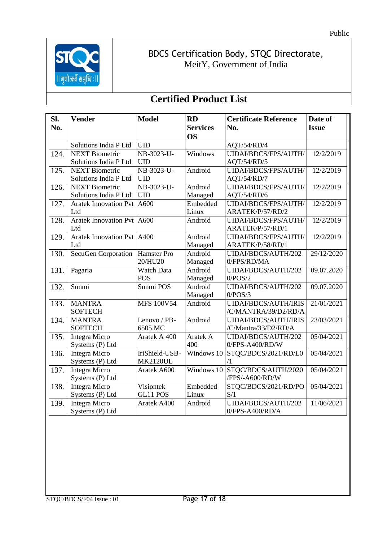

| Sl.  | <b>Vender</b>                | <b>Model</b>      | <b>RD</b>       | <b>Certificate Reference</b> | Date of      |
|------|------------------------------|-------------------|-----------------|------------------------------|--------------|
| No.  |                              |                   | <b>Services</b> | No.                          | <b>Issue</b> |
|      |                              |                   | <b>OS</b>       |                              |              |
|      | Solutions India P Ltd        | <b>UID</b>        |                 | AQT/54/RD/4                  |              |
| 124. | <b>NEXT Biometric</b>        | NB-3023-U-        | Windows         | UIDAI/BDCS/FPS/AUTH/         | 12/2/2019    |
|      | Solutions India P Ltd        | <b>UID</b>        |                 | AQT/54/RD/5                  |              |
| 125. | <b>NEXT Biometric</b>        | NB-3023-U-        | Android         | UIDAI/BDCS/FPS/AUTH/         | 12/2/2019    |
|      | Solutions India P Ltd        | <b>UID</b>        |                 | AQT/54/RD/7                  |              |
| 126. | <b>NEXT Biometric</b>        | NB-3023-U-        | Android         | UIDAI/BDCS/FPS/AUTH/         | 12/2/2019    |
|      | Solutions India P Ltd        | <b>UID</b>        | Managed         | AQT/54/RD/6                  |              |
| 127. | <b>Aratek Innovation Pvt</b> | A600              | Embedded        | UIDAI/BDCS/FPS/AUTH/         | 12/2/2019    |
|      | Ltd                          |                   | Linux           | ARATEK/P/57/RD/2             |              |
| 128. | <b>Aratek Innovation Pvt</b> | A600              | Android         | UIDAI/BDCS/FPS/AUTH/         | 12/2/2019    |
|      | Ltd                          |                   |                 | ARATEK/P/57/RD/1             |              |
| 129. | <b>Aratek Innovation Pvt</b> | A400              | Android         | UIDAI/BDCS/FPS/AUTH/         | 12/2/2019    |
|      | Ltd                          |                   | Managed         | ARATEK/P/58/RD/1             |              |
| 130. | SecuGen Corporation          | Hamster Pro       | Android         | UIDAI/BDCS/AUTH/202          | 29/12/2020   |
|      |                              | 20/HU20           | Managed         | 0/FPS/RD/MA                  |              |
| 131. | Pagaria                      | Watch Data        | Android         | UIDAI/BDCS/AUTH/202          | 09.07.2020   |
|      |                              | <b>POS</b>        | Managed         | 0/POS/2                      |              |
| 132. | Sunmi                        | Sunmi POS         | Android         | UIDAI/BDCS/AUTH/202          | 09.07.2020   |
|      |                              |                   | Managed         | 0/POS/3                      |              |
| 133. | <b>MANTRA</b>                | <b>MFS 100V54</b> | Android         | <b>UIDAI/BDCS/AUTH/IRIS</b>  | 21/01/2021   |
|      | <b>SOFTECH</b>               |                   |                 | /C/MANTRA/39/D2/RD/A         |              |
| 134. | <b>MANTRA</b>                | Lenovo / PB-      | Android         | <b>UIDAI/BDCS/AUTH/IRIS</b>  | 23/03/2021   |
|      | <b>SOFTECH</b>               | 6505 MC           |                 | /C/Mantra/33/D2/RD/A         |              |
| 135. | <b>Integra Micro</b>         | Aratek A 400      | Aratek A        | UIDAI/BDCS/AUTH/202          | 05/04/2021   |
|      | Systems (P) Ltd              |                   | 400             | 0/FPS-A400/RD/W              |              |
| 136. | <b>Integra Micro</b>         | IriShield-USB-    | Windows 10      | STQC/BDCS/2021/RD/L0         | 05/04/2021   |
|      | Systems (P) Ltd              | <b>MK2120UL</b>   |                 | /1                           |              |
| 137. | <b>Integra Micro</b>         | Aratek A600       | Windows 10      | STQC/BDCS/AUTH/2020          | 05/04/2021   |
|      | Systems (P) Ltd              |                   |                 | /FPS/-A600/RD/W              |              |
| 138. | <b>Integra Micro</b>         | Visiontek         | Embedded        | STQC/BDCS/2021/RD/PO         | 05/04/2021   |
|      | Systems (P) Ltd              | GL11 POS          | Linux           | S/1                          |              |
| 139. | <b>Integra Micro</b>         | Aratek A400       | Android         | UIDAI/BDCS/AUTH/202          | 11/06/2021   |
|      | Systems (P) Ltd              |                   |                 | $0$ /FPS-A400/RD/A           |              |